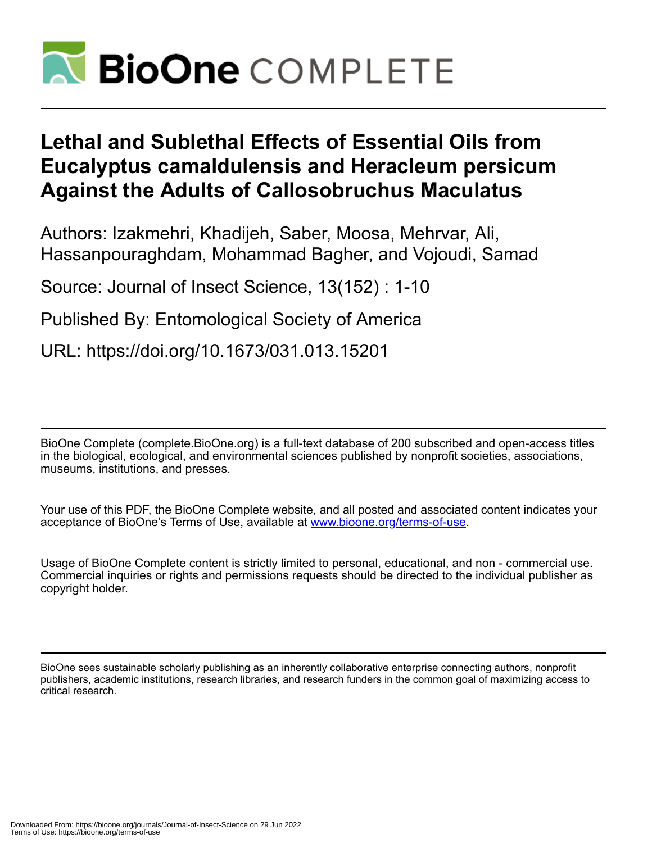

# **Lethal and Sublethal Effects of Essential Oils from Eucalyptus camaldulensis and Heracleum persicum Against the Adults of Callosobruchus Maculatus**

Authors: Izakmehri, Khadijeh, Saber, Moosa, Mehrvar, Ali, Hassanpouraghdam, Mohammad Bagher, and Vojoudi, Samad

Source: Journal of Insect Science, 13(152) : 1-10

Published By: Entomological Society of America

URL: https://doi.org/10.1673/031.013.15201

BioOne Complete (complete.BioOne.org) is a full-text database of 200 subscribed and open-access titles in the biological, ecological, and environmental sciences published by nonprofit societies, associations, museums, institutions, and presses.

Your use of this PDF, the BioOne Complete website, and all posted and associated content indicates your acceptance of BioOne's Terms of Use, available at www.bioone.org/terms-of-use.

Usage of BioOne Complete content is strictly limited to personal, educational, and non - commercial use. Commercial inquiries or rights and permissions requests should be directed to the individual publisher as copyright holder.

BioOne sees sustainable scholarly publishing as an inherently collaborative enterprise connecting authors, nonprofit publishers, academic institutions, research libraries, and research funders in the common goal of maximizing access to critical research.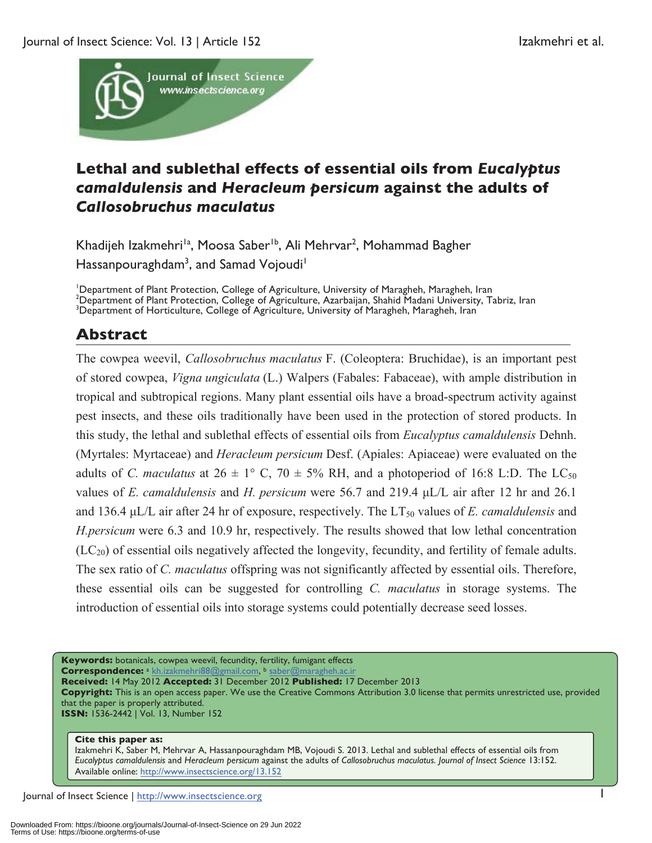

# **Lethal and sublethal effects of essential oils from** *Eucalyptus camaldulensis* **and** *Heracleum persicum* **against the adults of**  *Callosobruchus maculatus*

Khadijeh Izakmehri<sup>1a</sup>, Moosa Saber<sup>1b</sup>, Ali Mehrvar<sup>2</sup>, Mohammad Bagher Hassanpouraghdam<sup>3</sup>, and Samad Vojoudi<sup>1</sup>

<sup>1</sup>Department of Plant Protection, College of Agriculture, University of Maragheh, Maragheh, Iran 2<br><sup>2</sup>Department of Plant Protection, College of Agriculture, Agriculture, Shabid Madani University, To <sup>2</sup>Department of Plant Protection, College of Agriculture, Azarbaijan, Shahid Madani University, Tabriz, Iran <sup>3</sup>Department of Horticulture, College of Agriculture, University of Maragheh, Maragheh, Iran

# **Abstract**

The cowpea weevil, *Callosobruchus maculatus* F. (Coleoptera: Bruchidae), is an important pest of stored cowpea, *Vigna ungiculata* (L.) Walpers (Fabales: Fabaceae), with ample distribution in tropical and subtropical regions. Many plant essential oils have a broad-spectrum activity against pest insects, and these oils traditionally have been used in the protection of stored products. In this study, the lethal and sublethal effects of essential oils from *Eucalyptus camaldulensis* Dehnh. (Myrtales: Myrtaceae) and *Heracleum persicum* Desf. (Apiales: Apiaceae) were evaluated on the adults of *C. maculatus* at  $26 \pm 1^{\circ}$  C,  $70 \pm 5\%$  RH, and a photoperiod of 16:8 L:D. The LC<sub>50</sub> values of *E. camaldulensis* and *H. persicum* were 56.7 and 219.4 μL/L air after 12 hr and 26.1 and 136.4  $\mu$ L/L air after 24 hr of exposure, respectively. The LT<sub>50</sub> values of *E. camaldulensis* and *H.persicum* were 6.3 and 10.9 hr, respectively. The results showed that low lethal concentration  $(LC<sub>20</sub>)$  of essential oils negatively affected the longevity, fecundity, and fertility of female adults. The sex ratio of *C. maculatus* offspring was not significantly affected by essential oils. Therefore, these essential oils can be suggested for controlling *C. maculatus* in storage systems. The introduction of essential oils into storage systems could potentially decrease seed losses.

**Keywords:** botanicals, cowpea weevil, fecundity, fertility, fumigant effects

**Correspondence:** a kh.izakmehri88@gmail.com, **b** saber@maragheh.ac.ir

**Received:** 14 May 2012 **Accepted:** 31 December 2012 **Published:** 17 December 2013

**Copyright:** This is an open access paper. We use the Creative Commons Attribution 3.0 license that permits unrestricted use, provided that the paper is properly attributed. **ISSN:** 1536-2442 | Vol. 13, Number 152

#### **Cite this paper as:**

Izakmehri K, Saber M, Mehrvar A, Hassanpouraghdam MB, Vojoudi S. 2013. Lethal and sublethal effects of essential oils from *Eucalyptus camaldulensis* and *Heracleum persicum* against the adults of *Callosobruchus maculatus. Journal of Insect Science* 13:152. Available online: http://www.insectscience.org/13.152

Journal of Insect Science | http://www.insectscience.org 1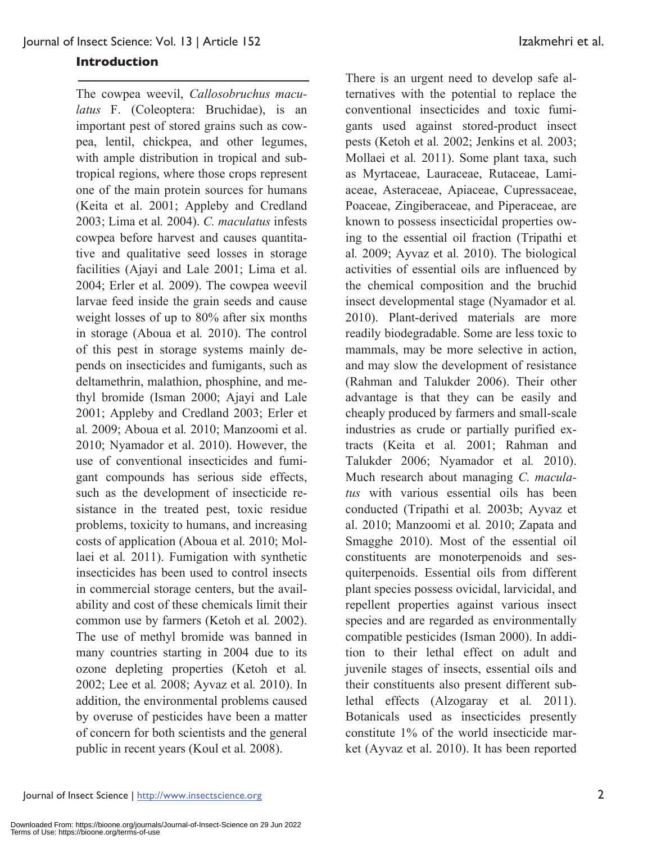# **Introduction**

The cowpea weevil, *Callosobruchus maculatus* F. (Coleoptera: Bruchidae), is an important pest of stored grains such as cowpea, lentil, chickpea, and other legumes, with ample distribution in tropical and subtropical regions, where those crops represent one of the main protein sources for humans (Keita et al. 2001; Appleby and Credland 2003; Lima et al*.* 2004). *C. maculatus* infests cowpea before harvest and causes quantitative and qualitative seed losses in storage facilities (Ajayi and Lale 2001; Lima et al. 2004; Erler et al*.* 2009). The cowpea weevil larvae feed inside the grain seeds and cause weight losses of up to 80% after six months in storage (Aboua et al*.* 2010). The control of this pest in storage systems mainly depends on insecticides and fumigants, such as deltamethrin, malathion, phosphine, and methyl bromide (Isman 2000; Ajayi and Lale 2001; Appleby and Credland 2003; Erler et al*.* 2009; Aboua et al*.* 2010; Manzoomi et al. 2010; Nyamador et al. 2010). However, the use of conventional insecticides and fumigant compounds has serious side effects, such as the development of insecticide resistance in the treated pest, toxic residue problems, toxicity to humans, and increasing costs of application (Aboua et al*.* 2010; Mollaei et al*.* 2011). Fumigation with synthetic insecticides has been used to control insects in commercial storage centers, but the availability and cost of these chemicals limit their common use by farmers (Ketoh et al*.* 2002). The use of methyl bromide was banned in many countries starting in 2004 due to its ozone depleting properties (Ketoh et al*.* 2002; Lee et al*.* 2008; Ayvaz et al*.* 2010). In addition, the environmental problems caused by overuse of pesticides have been a matter of concern for both scientists and the general public in recent years (Koul et al*.* 2008).

There is an urgent need to develop safe alternatives with the potential to replace the conventional insecticides and toxic fumigants used against stored-product insect pests (Ketoh et al*.* 2002; Jenkins et al*.* 2003; Mollaei et al*.* 2011). Some plant taxa, such as Myrtaceae, Lauraceae, Rutaceae, Lamiaceae, Asteraceae, Apiaceae, Cupressaceae, Poaceae, Zingiberaceae, and Piperaceae, are known to possess insecticidal properties owing to the essential oil fraction (Tripathi et al*.* 2009; Ayvaz et al*.* 2010). The biological activities of essential oils are influenced by the chemical composition and the bruchid insect developmental stage (Nyamador et al*.* 2010). Plant-derived materials are more readily biodegradable. Some are less toxic to mammals, may be more selective in action, and may slow the development of resistance (Rahman and Talukder 2006). Their other advantage is that they can be easily and cheaply produced by farmers and small-scale industries as crude or partially purified extracts (Keita et al*.* 2001; Rahman and Talukder 2006; Nyamador et al*.* 2010). Much research about managing *C. maculatus* with various essential oils has been conducted (Tripathi et al*.* 2003b; Ayvaz et al. 2010; Manzoomi et al*.* 2010; Zapata and Smagghe 2010). Most of the essential oil constituents are monoterpenoids and sesquiterpenoids. Essential oils from different plant species possess ovicidal, larvicidal, and repellent properties against various insect species and are regarded as environmentally compatible pesticides (Isman 2000). In addition to their lethal effect on adult and juvenile stages of insects, essential oils and their constituents also present different sublethal effects (Alzogaray et al*.* 2011). Botanicals used as insecticides presently constitute 1% of the world insecticide market (Ayvaz et al. 2010). It has been reported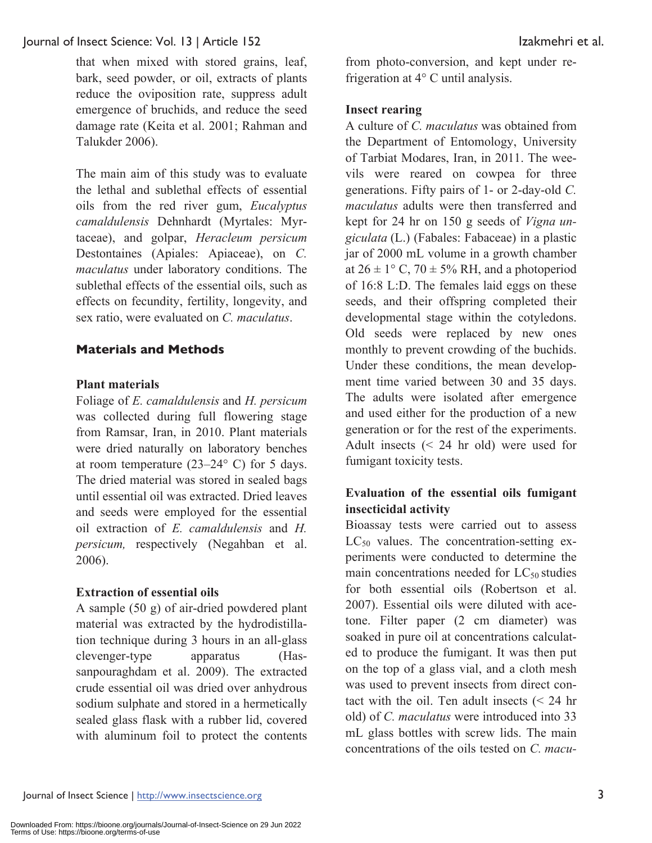that when mixed with stored grains, leaf, bark, seed powder, or oil, extracts of plants reduce the oviposition rate, suppress adult emergence of bruchids, and reduce the seed damage rate (Keita et al. 2001; Rahman and Talukder 2006).

The main aim of this study was to evaluate the lethal and sublethal effects of essential oils from the red river gum, *Eucalyptus camaldulensis* Dehnhardt (Myrtales: Myrtaceae), and golpar, *Heracleum persicum*  Destontaines (Apiales: Apiaceae), on *C*. *maculatus* under laboratory conditions. The sublethal effects of the essential oils, such as effects on fecundity, fertility, longevity, and sex ratio, were evaluated on *C. maculatus*.

## **Materials and Methods**

#### **Plant materials**

Foliage of *E. camaldulensis* and *H. persicum*  was collected during full flowering stage from Ramsar, Iran, in 2010. Plant materials were dried naturally on laboratory benches at room temperature  $(23-24^{\circ} \text{ C})$  for 5 days. The dried material was stored in sealed bags until essential oil was extracted. Dried leaves and seeds were employed for the essential oil extraction of *E. camaldulensis* and *H. persicum,* respectively (Negahban et al. 2006).

## **Extraction of essential oils**

A sample (50 g) of air-dried powdered plant material was extracted by the hydrodistillation technique during 3 hours in an all-glass clevenger-type apparatus (Hassanpouraghdam et al. 2009). The extracted crude essential oil was dried over anhydrous sodium sulphate and stored in a hermetically sealed glass flask with a rubber lid, covered with aluminum foil to protect the contents

from photo-conversion, and kept under refrigeration at 4° C until analysis.

#### **Insect rearing**

A culture of *C. maculatus* was obtained from the Department of Entomology, University of Tarbiat Modares, Iran, in 2011. The weevils were reared on cowpea for three generations. Fifty pairs of 1- or 2-day-old *C. maculatus* adults were then transferred and kept for 24 hr on 150 g seeds of *Vigna ungiculata* (L.) (Fabales: Fabaceae) in a plastic jar of 2000 mL volume in a growth chamber at  $26 \pm 1$ ° C,  $70 \pm 5\%$  RH, and a photoperiod of 16:8 L:D. The females laid eggs on these seeds, and their offspring completed their developmental stage within the cotyledons. Old seeds were replaced by new ones monthly to prevent crowding of the buchids. Under these conditions, the mean development time varied between 30 and 35 days. The adults were isolated after emergence and used either for the production of a new generation or for the rest of the experiments. Adult insects (< 24 hr old) were used for fumigant toxicity tests.

# **Evaluation of the essential oils fumigant insecticidal activity**

Bioassay tests were carried out to assess  $LC_{50}$  values. The concentration-setting experiments were conducted to determine the main concentrations needed for  $LC_{50}$  studies for both essential oils (Robertson et al. 2007). Essential oils were diluted with acetone. Filter paper (2 cm diameter) was soaked in pure oil at concentrations calculated to produce the fumigant. It was then put on the top of a glass vial, and a cloth mesh was used to prevent insects from direct contact with the oil. Ten adult insects (< 24 hr old) of *C. maculatus* were introduced into 33 mL glass bottles with screw lids. The main concentrations of the oils tested on *C. macu-*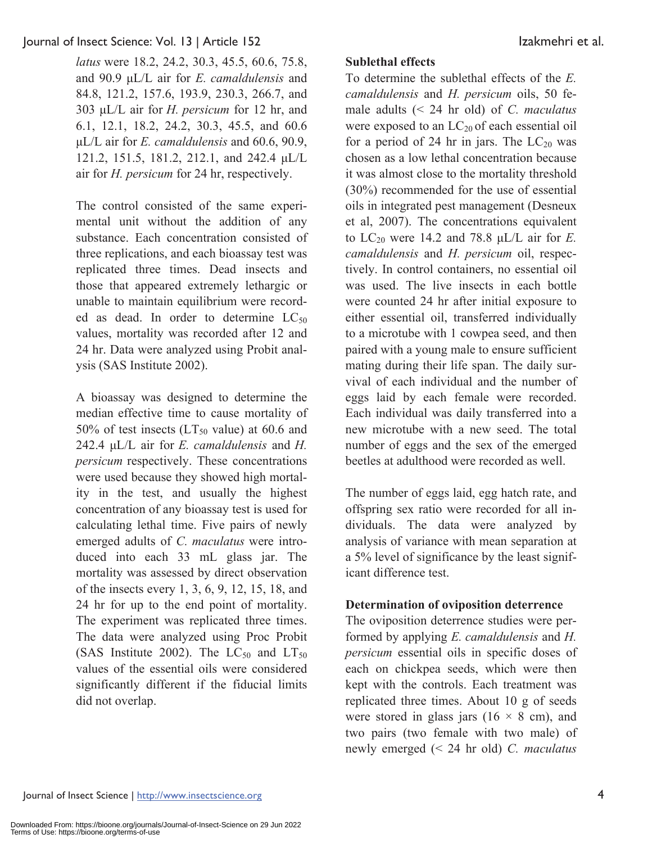*latus* were 18.2, 24.2, 30.3, 45.5, 60.6, 75.8, and 90.9 μL/L air for *E. camaldulensis* and 84.8, 121.2, 157.6, 193.9, 230.3, 266.7, and 303 μL/L air for *H. persicum* for 12 hr, and 6.1, 12.1, 18.2, 24.2, 30.3, 45.5, and 60.6 μL/L air for *E. camaldulensis* and 60.6, 90.9, 121.2, 151.5, 181.2, 212.1, and 242.4 μL/L air for *H. persicum* for 24 hr, respectively.

The control consisted of the same experimental unit without the addition of any substance. Each concentration consisted of three replications, and each bioassay test was replicated three times. Dead insects and those that appeared extremely lethargic or unable to maintain equilibrium were recorded as dead. In order to determine  $LC_{50}$ values, mortality was recorded after 12 and 24 hr. Data were analyzed using Probit analysis (SAS Institute 2002).

A bioassay was designed to determine the median effective time to cause mortality of 50% of test insects ( $LT_{50}$  value) at 60.6 and 242.4 μL/L air for *E. camaldulensis* and *H. persicum* respectively. These concentrations were used because they showed high mortality in the test, and usually the highest concentration of any bioassay test is used for calculating lethal time. Five pairs of newly emerged adults of *C. maculatus* were introduced into each 33 mL glass jar. The mortality was assessed by direct observation of the insects every 1, 3, 6, 9, 12, 15, 18, and 24 hr for up to the end point of mortality. The experiment was replicated three times. The data were analyzed using Proc Probit (SAS Institute 2002). The  $LC_{50}$  and  $LT_{50}$ values of the essential oils were considered significantly different if the fiducial limits did not overlap.

# **Sublethal effects**

To determine the sublethal effects of the *E. camaldulensis* and *H. persicum* oils, 50 female adults (< 24 hr old) of *C. maculatus*  were exposed to an  $LC_{20}$  of each essential oil for a period of 24 hr in jars. The  $LC_{20}$  was chosen as a low lethal concentration because it was almost close to the mortality threshold (30%) recommended for the use of essential oils in integrated pest management (Desneux et al, 2007). The concentrations equivalent to  $LC_{20}$  were 14.2 and 78.8  $\mu L/L$  air for *E*. *camaldulensis* and *H. persicum* oil, respectively. In control containers, no essential oil was used. The live insects in each bottle were counted 24 hr after initial exposure to either essential oil, transferred individually to a microtube with 1 cowpea seed, and then paired with a young male to ensure sufficient mating during their life span. The daily survival of each individual and the number of eggs laid by each female were recorded. Each individual was daily transferred into a new microtube with a new seed. The total number of eggs and the sex of the emerged beetles at adulthood were recorded as well.

The number of eggs laid, egg hatch rate, and offspring sex ratio were recorded for all individuals. The data were analyzed by analysis of variance with mean separation at a 5% level of significance by the least significant difference test.

# **Determination of oviposition deterrence**

The oviposition deterrence studies were performed by applying *E. camaldulensis* and *H. persicum* essential oils in specific doses of each on chickpea seeds, which were then kept with the controls. Each treatment was replicated three times. About 10 g of seeds were stored in glass jars (16  $\times$  8 cm), and two pairs (two female with two male) of newly emerged (< 24 hr old) *C. maculatus*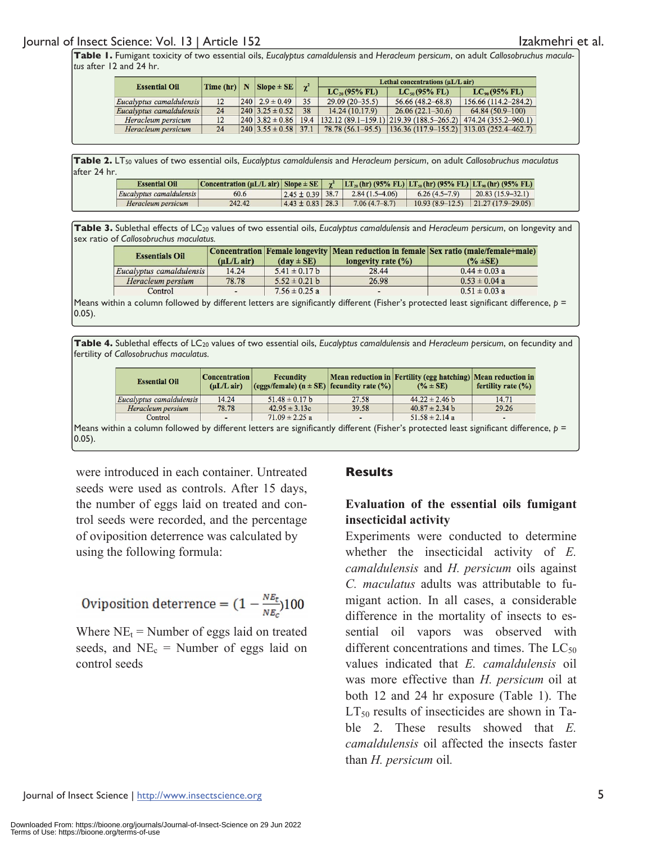**Table 1.** Fumigant toxicity of two essential oils, *Eucalyptus camaldulensis* and *Heracleum persicum*, on adult *Callosobruchus maculatus* after 12 and 24 hr.

| <b>Essential Oil</b>       | $\lceil$ Time (hr) $\lceil N \rceil$ | $ Slope \pm SE $          | $\sim^2$ | Lethal concentrations (uL/L air) |                                                                          |                      |
|----------------------------|--------------------------------------|---------------------------|----------|----------------------------------|--------------------------------------------------------------------------|----------------------|
|                            |                                      |                           |          | $LC_{20}$ (95% FL)               | $LC_{50}$ (95% FL)                                                       | $LC_{90}$ (95% FL)   |
| $Eucalyptus$ camaldulensis | 12                                   | $240$   $2.9 \pm 0.49$    | 35       | $29.09(20-35.5)$                 | $56.66(48.2 - 68.8)$                                                     | 156.66 (114.2-284.2) |
| Eucalyptus camaldulensis   | 24                                   | $ 240 3.25 \pm 0.52 $     | 38       | 14.24(10.17.9)                   | $26.06(22.1-30.6)$                                                       | $64.84(50.9-100)$    |
| Heracleum persicum         | 12                                   | $ 240 3.82 \pm 0.86 $     |          |                                  | 19.4   132.12 (89.1–159.1)   219.39 (188.5–265.2)   474.24 (355.2–960.1) |                      |
| Heracleum persicum         | 24                                   | $ 240 3.55 \pm 0.58 37.1$ |          |                                  | $78.78(56.1-95.5)$   136.36 (117.9-155.2)   313.03 (252.4-462.7)         |                      |

**Table 2.** LT50 values of two essential oils, *Eucalyptus camaldulensis* and *Heracleum persicum*, on adult *Callosobruchus maculatus*  after 24 hr.

| <b>Essential Oil</b>     | <b>Concentration</b> ( $\mu$ L/L air) Slope $\pm$ SE $\gamma^2$ |                      |                   |                 | $ LT_{20}(\text{hr}) (95\% \text{ FL}) LT_{50}(\text{hr}) (95\% \text{ FL}) LT_{50}(\text{hr}) (95\% \text{ FL}) $ |
|--------------------------|-----------------------------------------------------------------|----------------------|-------------------|-----------------|--------------------------------------------------------------------------------------------------------------------|
| Eucalyptus camaldulensis | 60.6                                                            | $2.45 \pm 0.39$ 38.7 | $2.84(1.5-4.06)$  | $6.26(4.5-7.9)$ | $\vert$ 20.83 (15.9–32.1)                                                                                          |
| Heracleum persicum       | 242.42                                                          | $4.43 \pm 0.83$ 28.3 | $7.06(4.7 - 8.7)$ |                 | $10.93(8.9-12.5)$ $21.27(17.9-29.05)$                                                                              |

Table 3. Sublethal effects of LC<sub>20</sub> values of two essential oils, *Eucalyptus camaldulensis* and *Heracleum persicum*, on longevity and sex ratio of *Callosobruchus maculatus.* 

| <b>Essentials Oil</b>    | $(\mu L/L \text{ air})$  | $(\text{day} \pm \text{SE})$ | longevity rate $(\% )$ | Concentration Female longevity Mean reduction in female Sex ratio (male/female+male)<br>$(% \pm SE)$ |
|--------------------------|--------------------------|------------------------------|------------------------|------------------------------------------------------------------------------------------------------|
| Eucalyptus camaldulensis | 14.24                    | $5.41 \pm 0.17$ b            | 28.44                  | $0.44 \pm 0.03$ a                                                                                    |
| Heracleum persium        | 78.78                    | $5.52 \pm 0.21$ b            | 26.98                  | $0.53 \pm 0.04$ a                                                                                    |
| Control                  | $\overline{\phantom{a}}$ | $7.56 \pm 0.25$ a            |                        | $0.51 \pm 0.03$ a                                                                                    |

Means within a column followed by different letters are significantly different (Fisher's protected least significant difference, *p* = 0.05).

**Table 4.** Sublethal effects of LC20 values of two essential oils, *Eucalyptus camaldulensis* and *Heracleum persicum*, on fecundity and fertility of *Callosobruchus maculatus.* 

|           | <b>Essential Oil</b>                                                                                                                    | <b>Concentration</b><br>$(\mu L/L \text{ air})$ | Fecundity<br>$  (eggs/female) (n \pm SE)   fecundity rate (%)  $ |       | Mean reduction in Fertility (egg hatching) Mean reduction in<br>$(% \pm SE)$ | fertility rate $(\%)$ |  |
|-----------|-----------------------------------------------------------------------------------------------------------------------------------------|-------------------------------------------------|------------------------------------------------------------------|-------|------------------------------------------------------------------------------|-----------------------|--|
|           | Eucalyptus camaldulensis                                                                                                                | 14.24                                           | $51.48 \pm 0.17$ b                                               | 27.58 | $44.22 \pm 2.46$ b                                                           | 14.71                 |  |
|           | Heracleum persium                                                                                                                       | 78.78                                           | $42.95 \pm 3.13c$                                                | 39.58 | $40.87 \pm 2.34$ b                                                           | 29.26                 |  |
|           | Control                                                                                                                                 |                                                 | $71.09 \pm 2.25$ a                                               |       | $51.58 \pm 2.14$ a                                                           |                       |  |
|           | Means within a column followed by different letters are significantly different (Fisher's protected least significant difference, $p =$ |                                                 |                                                                  |       |                                                                              |                       |  |
| $0.05$ ). |                                                                                                                                         |                                                 |                                                                  |       |                                                                              |                       |  |

were introduced in each container. Untreated seeds were used as controls. After 15 days, the number of eggs laid on treated and control seeds were recorded, and the percentage of oviposition deterrence was calculated by using the following formula:

# Oviposition deterrence =  $(1 - \frac{NE_t}{NE_c})100$

Where  $NE<sub>t</sub>$  = Number of eggs laid on treated seeds, and  $NE<sub>c</sub>$  = Number of eggs laid on control seeds

## **Results**

# **Evaluation of the essential oils fumigant insecticidal activity**

Experiments were conducted to determine whether the insecticidal activity of *E. camaldulensis* and *H. persicum* oils against *C. maculatus* adults was attributable to fumigant action. In all cases, a considerable difference in the mortality of insects to essential oil vapors was observed with different concentrations and times. The  $LC_{50}$ values indicated that *E. camaldulensis* oil was more effective than *H. persicum* oil at both 12 and 24 hr exposure (Table 1). The  $LT_{50}$  results of insecticides are shown in Table 2. These results showed that *E. camaldulensis* oil affected the insects faster than *H. persicum* oil*.*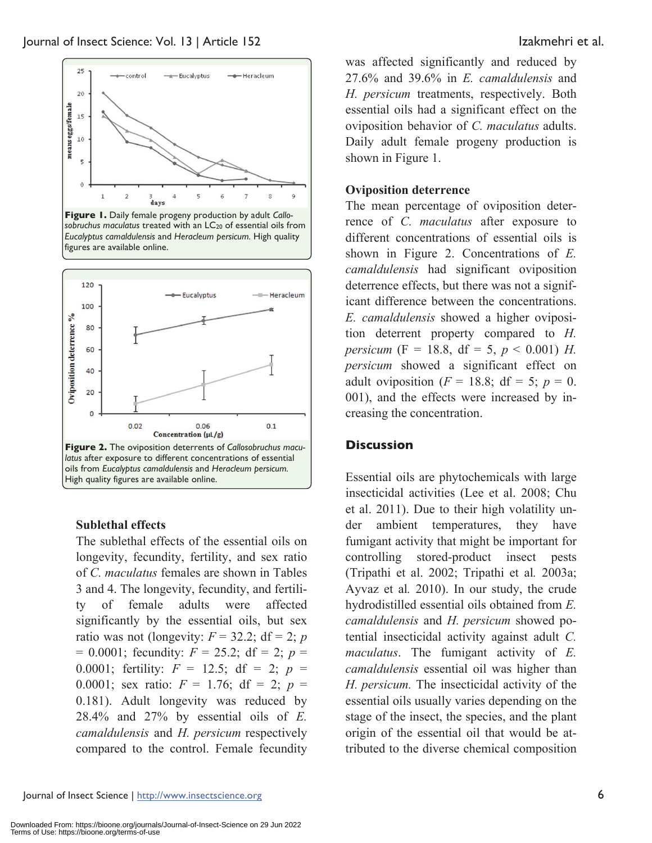





#### **Sublethal effects**

The sublethal effects of the essential oils on longevity, fecundity, fertility, and sex ratio of *C. maculatus* females are shown in Tables 3 and 4. The longevity, fecundity, and fertility of female adults were affected significantly by the essential oils, but sex ratio was not (longevity:  $F = 32.2$ ; df = 2; *p* = 0.0001; fecundity: *F* = 25.2; df = 2; *p* = 0.0001; fertility: *F* = 12.5; df = 2; *p* = 0.0001; sex ratio: *F* = 1.76; df = 2; *p* = 0.181). Adult longevity was reduced by 28.4% and 27% by essential oils of *E. camaldulensis* and *H. persicum* respectively compared to the control. Female fecundity was affected significantly and reduced by 27.6% and 39.6% in *E. camaldulensis* and *H. persicum* treatments, respectively. Both essential oils had a significant effect on the oviposition behavior of *C. maculatus* adults. Daily adult female progeny production is shown in Figure 1.

#### **Oviposition deterrence**

The mean percentage of oviposition deterrence of *C. maculatus* after exposure to different concentrations of essential oils is shown in Figure 2. Concentrations of *E. camaldulensis* had significant oviposition deterrence effects, but there was not a significant difference between the concentrations. *E. camaldulensis* showed a higher oviposition deterrent property compared to *H. persicum* (F = 18.8, df = 5,  $p < 0.001$ ) *H. persicum* showed a significant effect on adult oviposition ( $F = 18.8$ ; df = 5;  $p = 0$ .) 001), and the effects were increased by increasing the concentration.

## **Discussion**

Essential oils are phytochemicals with large insecticidal activities (Lee et al. 2008; Chu et al. 2011). Due to their high volatility under ambient temperatures, they have fumigant activity that might be important for controlling stored-product insect pests (Tripathi et al. 2002; Tripathi et al*.* 2003a; Ayvaz et al*.* 2010). In our study, the crude hydrodistilled essential oils obtained from *E. camaldulensis* and *H. persicum* showed potential insecticidal activity against adult *C. maculatus*. The fumigant activity of *E. camaldulensis* essential oil was higher than *H. persicum.* The insecticidal activity of the essential oils usually varies depending on the stage of the insect, the species, and the plant origin of the essential oil that would be attributed to the diverse chemical composition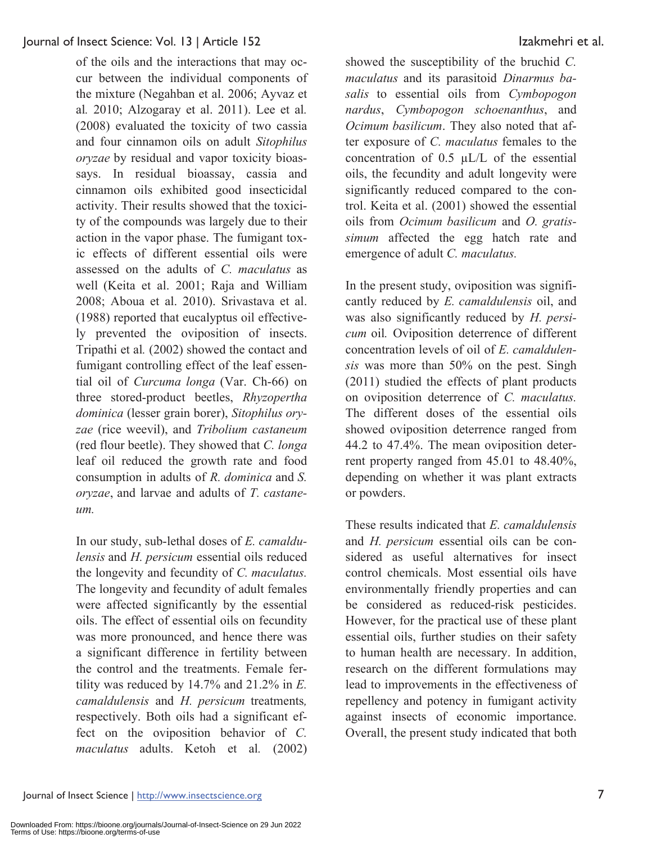of the oils and the interactions that may occur between the individual components of the mixture (Negahban et al. 2006; Ayvaz et al*.* 2010; Alzogaray et al. 2011). Lee et al*.* (2008) evaluated the toxicity of two cassia and four cinnamon oils on adult *Sitophilus oryzae* by residual and vapor toxicity bioassays. In residual bioassay, cassia and cinnamon oils exhibited good insecticidal activity. Their results showed that the toxicity of the compounds was largely due to their action in the vapor phase. The fumigant toxic effects of different essential oils were assessed on the adults of *C. maculatus* as well (Keita et al. 2001; Raja and William 2008; Aboua et al. 2010). Srivastava et al. (1988) reported that eucalyptus oil effectively prevented the oviposition of insects. Tripathi et al*.* (2002) showed the contact and fumigant controlling effect of the leaf essential oil of *Curcuma longa* (Var. Ch-66) on three stored-product beetles, *Rhyzopertha dominica* (lesser grain borer), *Sitophilus oryzae* (rice weevil), and *Tribolium castaneum*  (red flour beetle). They showed that *C. longa*  leaf oil reduced the growth rate and food consumption in adults of *R. dominica* and *S. oryzae*, and larvae and adults of *T. castaneum.*

In our study, sub-lethal doses of *E. camaldulensis* and *H. persicum* essential oils reduced the longevity and fecundity of *C. maculatus.*  The longevity and fecundity of adult females were affected significantly by the essential oils. The effect of essential oils on fecundity was more pronounced, and hence there was a significant difference in fertility between the control and the treatments. Female fertility was reduced by 14.7% and 21.2% in *E. camaldulensis* and *H. persicum* treatments*,* respectively. Both oils had a significant effect on the oviposition behavior of *C. maculatus* adults. Ketoh et al*.* (2002)

showed the susceptibility of the bruchid *C. maculatus* and its parasitoid *Dinarmus basalis* to essential oils from *Cymbopogon nardus*, *Cymbopogon schoenanthus*, and *Ocimum basilicum*. They also noted that after exposure of *C. maculatus* females to the concentration of 0.5 µL/L of the essential oils, the fecundity and adult longevity were significantly reduced compared to the control. Keita et al. (2001) showed the essential oils from *Ocimum basilicum* and *O. gratissimum* affected the egg hatch rate and emergence of adult *C. maculatus.*

In the present study, oviposition was significantly reduced by *E. camaldulensis* oil, and was also significantly reduced by *H. persicum* oil*.* Oviposition deterrence of different concentration levels of oil of *E. camaldulensis* was more than 50% on the pest. Singh (2011) studied the effects of plant products on oviposition deterrence of *C. maculatus.*  The different doses of the essential oils showed oviposition deterrence ranged from 44.2 to 47.4%. The mean oviposition deterrent property ranged from 45.01 to 48.40%, depending on whether it was plant extracts or powders.

These results indicated that *E. camaldulensis* and *H. persicum* essential oils can be considered as useful alternatives for insect control chemicals. Most essential oils have environmentally friendly properties and can be considered as reduced-risk pesticides. However, for the practical use of these plant essential oils, further studies on their safety to human health are necessary. In addition, research on the different formulations may lead to improvements in the effectiveness of repellency and potency in fumigant activity against insects of economic importance. Overall, the present study indicated that both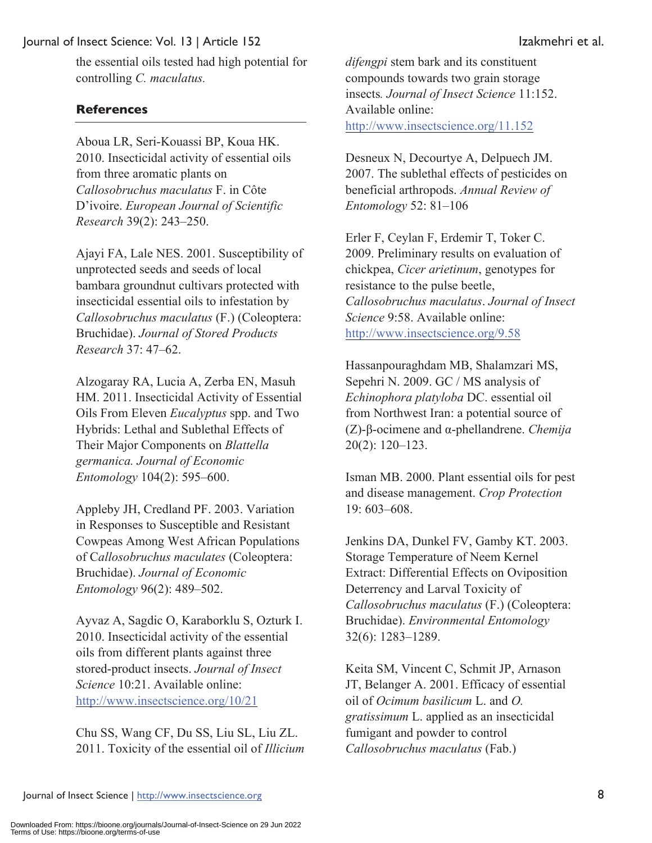the essential oils tested had high potential for controlling *C. maculatus.* 

# **References**

Aboua LR, Seri-Kouassi BP, Koua HK. 2010. Insecticidal activity of essential oils from three aromatic plants on *Callosobruchus maculatus* F. in Côte D'ivoire. *European Journal of Scientific Research* 39(2): 243–250.

Ajayi FA, Lale NES. 2001. Susceptibility of unprotected seeds and seeds of local bambara groundnut cultivars protected with insecticidal essential oils to infestation by *Callosobruchus maculatus* (F.) (Coleoptera: Bruchidae). *Journal of Stored Products Research* 37: 47–62.

Alzogaray RA, Lucia A, Zerba EN, Masuh HM. 2011. Insecticidal Activity of Essential Oils From Eleven *Eucalyptus* spp. and Two Hybrids: Lethal and Sublethal Effects of Their Major Components on *Blattella germanica. Journal of Economic Entomology* 104(2): 595–600.

Appleby JH, Credland PF. 2003. Variation in Responses to Susceptible and Resistant Cowpeas Among West African Populations of C*allosobruchus maculates* (Coleoptera: Bruchidae). *Journal of Economic Entomology* 96(2): 489–502.

Ayvaz A, Sagdic O, Karaborklu S, Ozturk I. 2010. Insecticidal activity of the essential oils from different plants against three stored-product insects. *Journal of Insect Science* 10:21. Available online: http://www.insectscience.org/10/21

Chu SS, Wang CF, Du SS, Liu SL, Liu ZL. 2011. Toxicity of the essential oil of *Illicium*  *difengpi* stem bark and its constituent compounds towards two grain storage insects*. Journal of Insect Science* 11:152. Available online: http://www.insectscience.org/11.152

Desneux N, Decourtye A, Delpuech JM. 2007. The sublethal effects of pesticides on beneficial arthropods. *Annual Review of Entomology* 52: 81–106

Erler F, Ceylan F, Erdemir T, Toker C. 2009. Preliminary results on evaluation of chickpea, *Cicer arietinum*, genotypes for resistance to the pulse beetle, *Callosobruchus maculatus*. *Journal of Insect Science* 9:58. Available online: http://www.insectscience.org/9.58

Hassanpouraghdam MB, Shalamzari MS, Sepehri N. 2009. GC / MS analysis of *Echinophora platyloba* DC. essential oil from Northwest Iran: a potential source of (Z)-β-ocimene and α-phellandrene. *Chemija* 20(2): 120–123.

Isman MB. 2000. Plant essential oils for pest and disease management. *Crop Protection*  19: 603–608.

Jenkins DA, Dunkel FV, Gamby KT. 2003. Storage Temperature of Neem Kernel Extract: Differential Effects on Oviposition Deterrency and Larval Toxicity of *Callosobruchus maculatus* (F.) (Coleoptera: Bruchidae). *Environmental Entomology* 32(6): 1283–1289.

Keita SM, Vincent C, Schmit JP, Arnason JT, Belanger A. 2001. Efficacy of essential oil of *Ocimum basilicum* L. and *O. gratissimum* L. applied as an insecticidal fumigant and powder to control *Callosobruchus maculatus* (Fab.)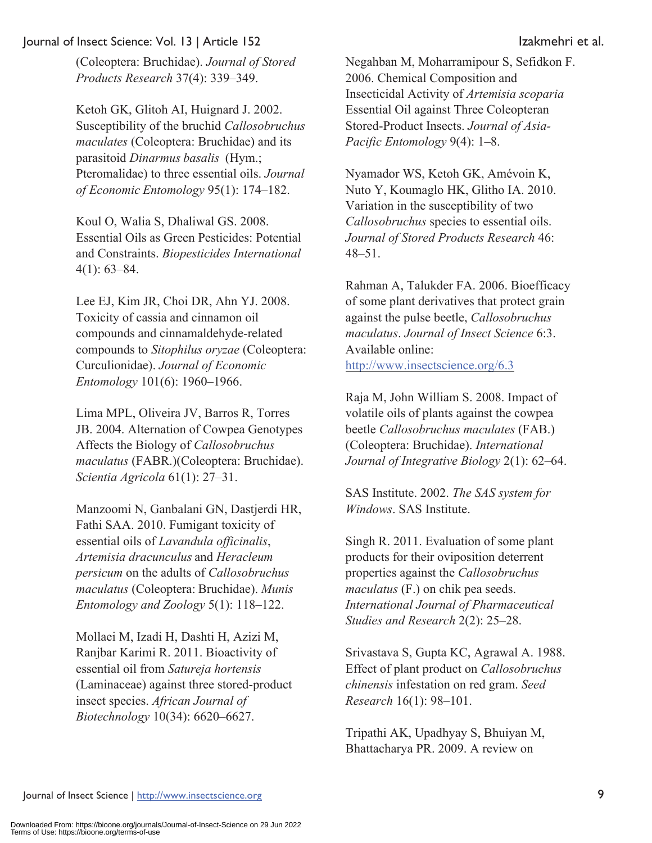(Coleoptera: Bruchidae). *Journal of Stored Products Research* 37(4): 339–349.

Ketoh GK, Glitoh AI, Huignard J. 2002. Susceptibility of the bruchid *Callosobruchus maculates* (Coleoptera: Bruchidae) and its parasitoid *Dinarmus basalis* (Hym.; Pteromalidae) to three essential oils. *Journal of Economic Entomology* 95(1): 174–182.

Koul O, Walia S, Dhaliwal GS. 2008. Essential Oils as Green Pesticides: Potential and Constraints. *Biopesticides International* 4(1): 63–84.

Lee EJ, Kim JR, Choi DR, Ahn YJ. 2008. Toxicity of cassia and cinnamon oil compounds and cinnamaldehyde-related compounds to *Sitophilus oryzae* (Coleoptera: Curculionidae). *Journal of Economic Entomology* 101(6): 1960–1966.

Lima MPL, Oliveira JV, Barros R, Torres JB. 2004. Alternation of Cowpea Genotypes Affects the Biology of *Callosobruchus maculatus* (FABR.)(Coleoptera: Bruchidae). *Scientia Agricola* 61(1): 27–31.

Manzoomi N, Ganbalani GN, Dastjerdi HR, Fathi SAA. 2010. Fumigant toxicity of essential oils of *Lavandula officinalis*, *Artemisia dracunculus* and *Heracleum persicum* on the adults of *Callosobruchus maculatus* (Coleoptera: Bruchidae). *Munis Entomology and Zoology* 5(1): 118–122.

Mollaei M, Izadi H, Dashti H, Azizi M, Ranjbar Karimi R. 2011. Bioactivity of essential oil from *Satureja hortensis*  (Laminaceae) against three stored-product insect species. *African Journal of Biotechnology* 10(34): 6620–6627.

Negahban M, Moharramipour S, Sefidkon F. 2006. Chemical Composition and Insecticidal Activity of *Artemisia scoparia* Essential Oil against Three Coleopteran Stored-Product Insects. *Journal of Asia-Pacific Entomology* 9(4): 1–8.

Nyamador WS, Ketoh GK, Amévoin K, Nuto Y, Koumaglo HK, Glitho IA. 2010. Variation in the susceptibility of two *Callosobruchus* species to essential oils. *Journal of Stored Products Research* 46: 48–51.

Rahman A, Talukder FA. 2006. Bioefficacy of some plant derivatives that protect grain against the pulse beetle, *Callosobruchus maculatus*. *Journal of Insect Science* 6:3. Available online: http://www.insectscience.org/6.3

Raja M, John William S. 2008. Impact of volatile oils of plants against the cowpea beetle *Callosobruchus maculates* (FAB.) (Coleoptera: Bruchidae). *International Journal of Integrative Biology* 2(1): 62–64.

SAS Institute. 2002. *The SAS system for Windows*. SAS Institute.

Singh R. 2011. Evaluation of some plant products for their oviposition deterrent properties against the *Callosobruchus maculatus* (F.) on chik pea seeds. *International Journal of Pharmaceutical Studies and Research* 2(2): 25–28.

Srivastava S, Gupta KC, Agrawal A. 1988. Effect of plant product on *Callosobruchus chinensis* infestation on red gram. *Seed Research* 16(1): 98–101.

Tripathi AK, Upadhyay S, Bhuiyan M, Bhattacharya PR. 2009. A review on